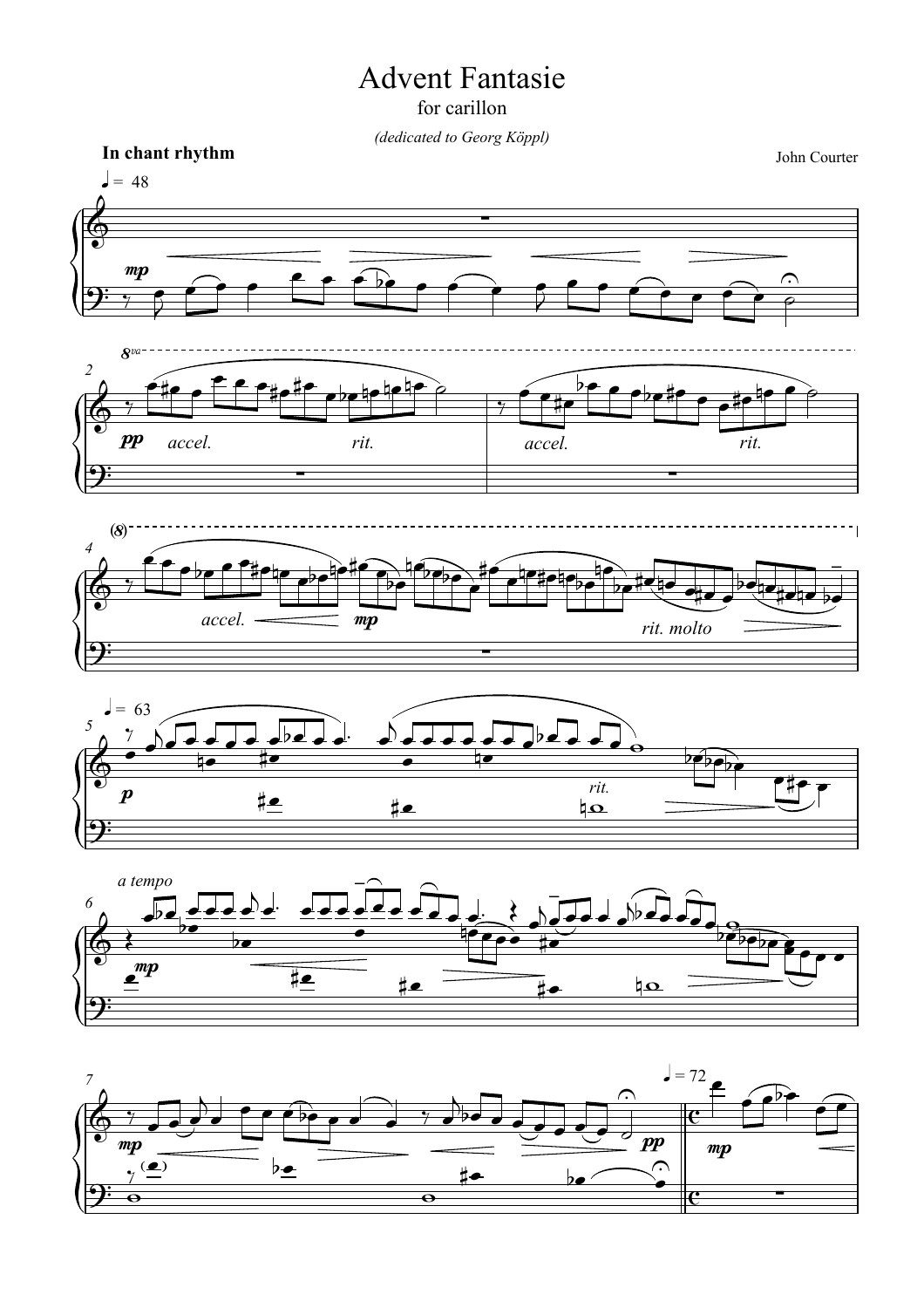## Advent Fantasie

for carillon

*(dedicated to Georg Köppl)*

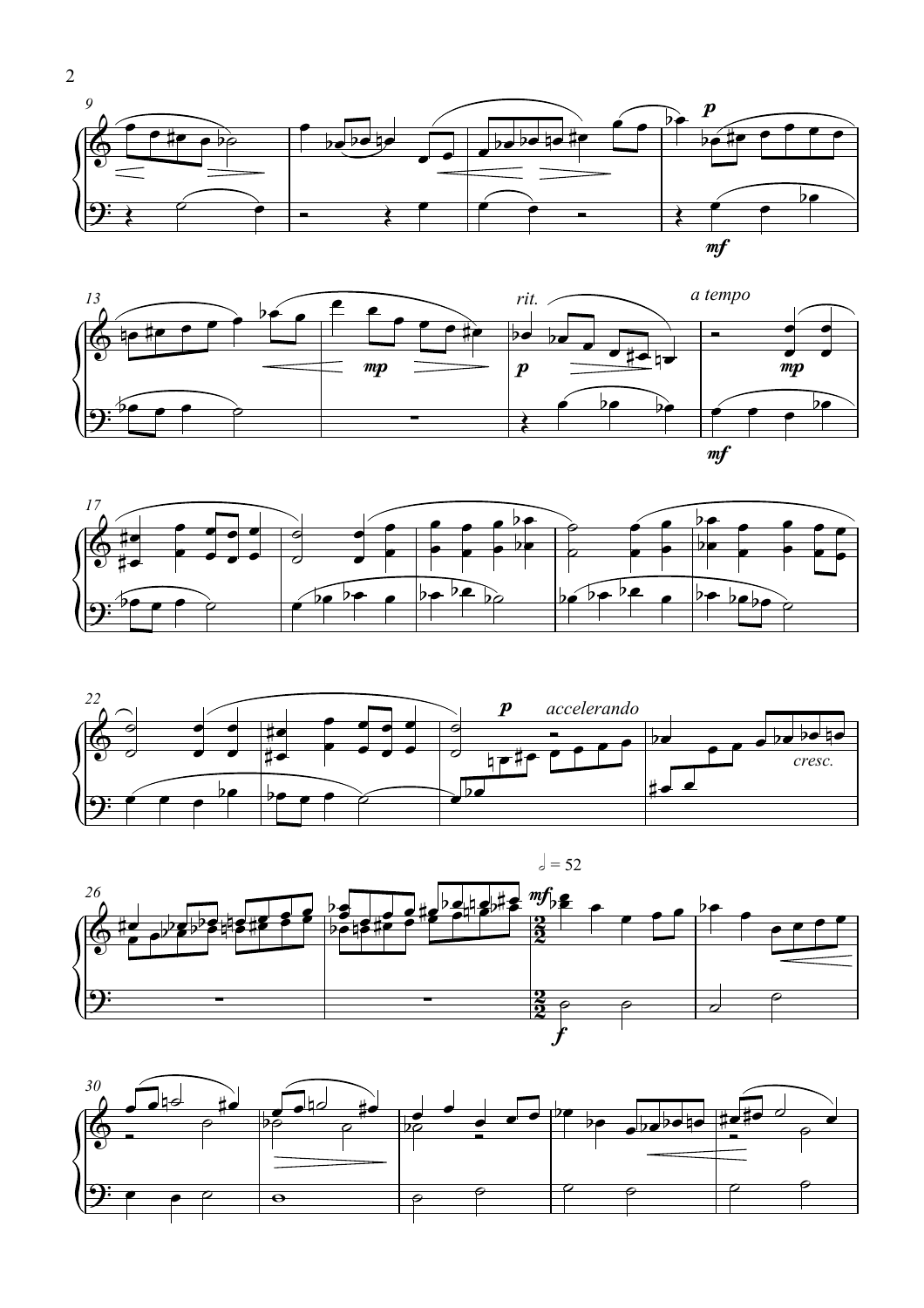









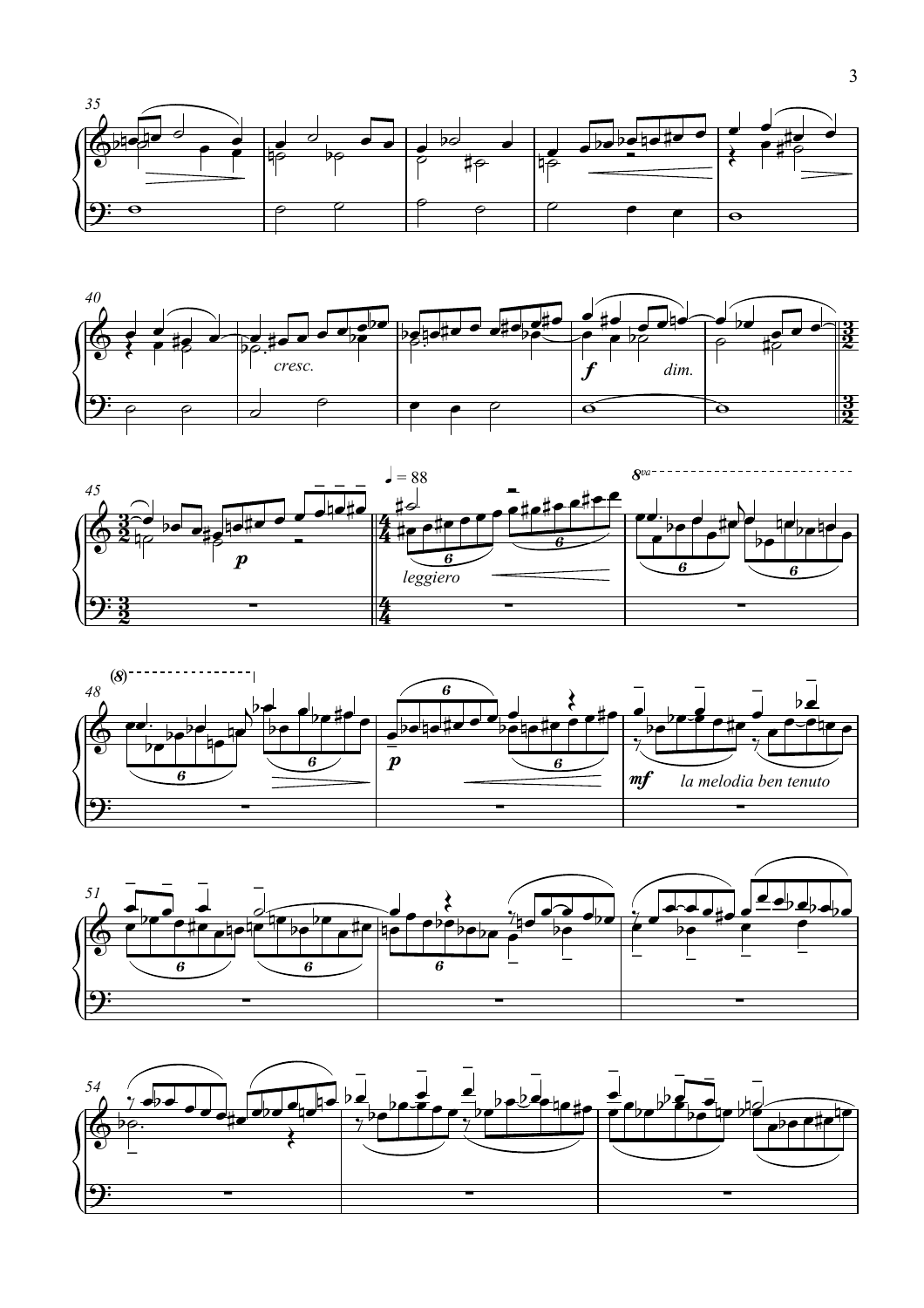









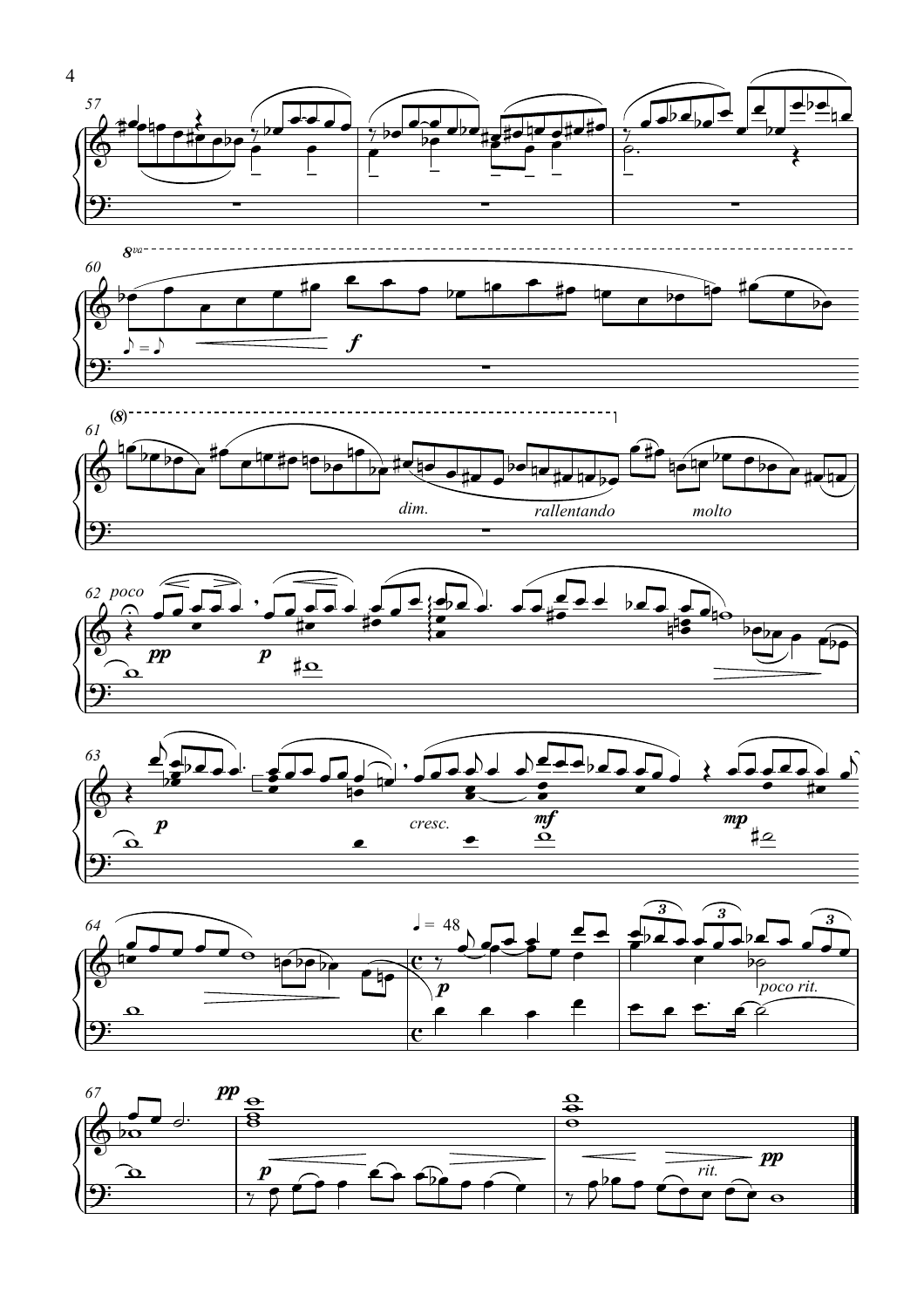



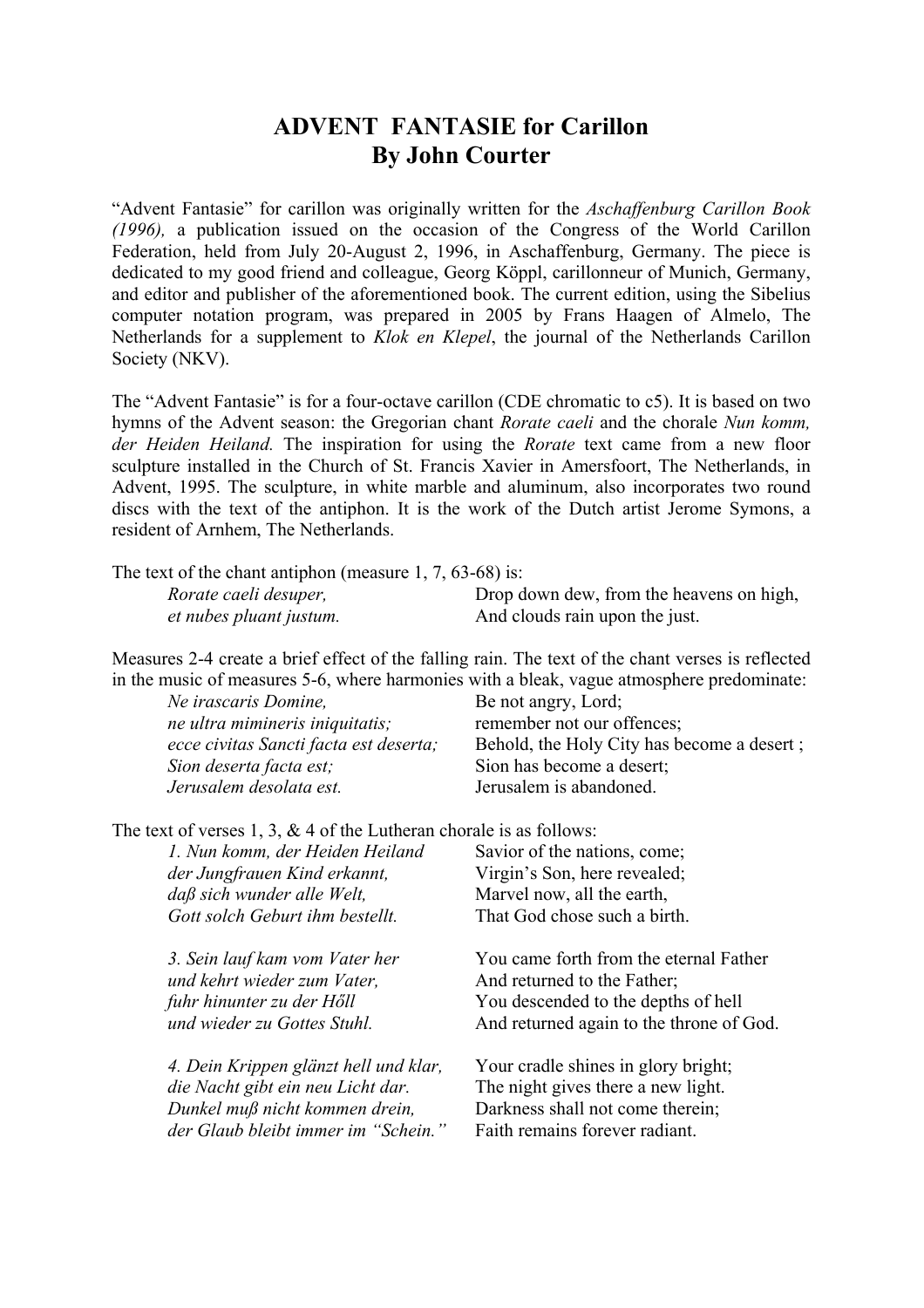## **ADVENT FANTASIE for Carillon By John Courter**

"Advent Fantasie" for carillon was originally written for the *Aschaffenburg Carillon Book (1996),* a publication issued on the occasion of the Congress of the World Carillon Federation, held from July 20-August 2, 1996, in Aschaffenburg, Germany. The piece is dedicated to my good friend and colleague, Georg Köppl, carillonneur of Munich, Germany, and editor and publisher of the aforementioned book. The current edition, using the Sibelius computer notation program, was prepared in 2005 by Frans Haagen of Almelo, The Netherlands for a supplement to *Klok en Klepel*, the journal of the Netherlands Carillon Society (NKV).

The "Advent Fantasie" is for a four-octave carillon (CDE chromatic to c5). It is based on two hymns of the Advent season: the Gregorian chant *Rorate caeli* and the chorale *Nun komm, der Heiden Heiland.* The inspiration for using the *Rorate* text came from a new floor sculpture installed in the Church of St. Francis Xavier in Amersfoort, The Netherlands, in Advent, 1995. The sculpture, in white marble and aluminum, also incorporates two round discs with the text of the antiphon. It is the work of the Dutch artist Jerome Symons, a resident of Arnhem, The Netherlands.

The text of the chant antiphon (measure 1, 7, 63-68) is:

| Rorate caeli desuper,   | Drop down dew, from the heavens on high, |
|-------------------------|------------------------------------------|
| et nubes pluant justum. | And clouds rain upon the just.           |

Measures 2-4 create a brief effect of the falling rain. The text of the chant verses is reflected in the music of measures 5-6, where harmonies with a bleak, vague atmosphere predominate:

| Ne irascaris Domine,                   | Be not angry, Lord;                        |
|----------------------------------------|--------------------------------------------|
| ne ultra mimineris iniquitatis;        | remember not our offences;                 |
| ecce civitas Sancti facta est deserta; | Behold, the Holy City has become a desert; |
| Sion deserta facta est;                | Sion has become a desert;                  |
| Jerusalem desolata est.                | Jerusalem is abandoned.                    |

The text of verses 1, 3, & 4 of the Lutheran chorale is as follows:

| 1. Nun komm, der Heiden Heiland<br>der Jungfrauen Kind erkannt,<br>$da\beta$ sich wunder alle Welt,<br>Gott solch Geburt ihm bestellt.              | Savior of the nations, come;<br>Virgin's Son, here revealed;<br>Marvel now, all the earth,<br>That God chose such a birth.                               |
|-----------------------------------------------------------------------------------------------------------------------------------------------------|----------------------------------------------------------------------------------------------------------------------------------------------------------|
| 3. Sein lauf kam vom Vater her<br>und kehrt wieder zum Vater,<br>fuhr hinunter zu der Höll<br>und wieder zu Gottes Stuhl.                           | You came forth from the eternal Father<br>And returned to the Father;<br>You descended to the depths of hell<br>And returned again to the throne of God. |
| 4. Dein Krippen glänzt hell und klar,<br>die Nacht gibt ein neu Licht dar.<br>Dunkel muß nicht kommen drein,<br>der Glaub bleibt immer im "Schein." | Your cradle shines in glory bright;<br>The night gives there a new light.<br>Darkness shall not come therein;<br>Faith remains forever radiant.          |